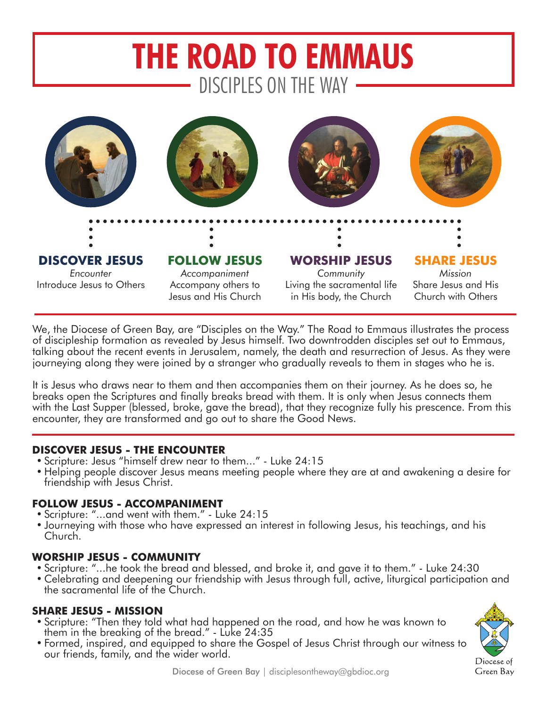# **THE ROAD TO EMMAUS** DISCIPLES ON THE WAY



We, the Diocese of Green Bay, are "Disciples on the Way." The Road to Emmaus illustrates the process of discipleship formation as revealed by Jesus himself. Two downtrodden disciples set out to Emmaus, talking about the recent events in Jerusalem, namely, the death and resurrection of Jesus. As they were journeying along they were joined by a stranger who gradually reveals to them in stages who he is.

It is Jesus who draws near to them and then accompanies them on their journey. As he does so, he breaks open the Scriptures and finally breaks bread with them. It is only when Jesus connects them with the Last Supper (blessed, broke, gave the bread), that they recognize fully his prescence. From this encounter, they are transformed and go out to share the Good News.

## **DISCOVER JESUS - THE ENCOUNTER**

- Scripture: Jesus "himself drew near to them..." Luke 24:15
- • Helping people discover Jesus means meeting people where they are at and awakening a desire for friendship with Jesus Christ.

## **FOLLOW JESUS - ACCOMPANIMENT**

- • Scripture: "...and went with them." Luke 24:15
- Journeying with those who have expressed an interest in following Jesus, his teachings, and his Church.

## **WORSHIP JESUS - COMMUNITY**

- Scripture: "...he took the bread and blessed, and broke it, and gave it to them." Luke 24:30
- • Celebrating and deepening our friendship with Jesus through full, active, liturgical participation and the sacramental life of the Church.

# **SHARE JESUS - MISSION**

- • Scripture: "Then they told what had happened on the road, and how he was known to them in the breaking of the bread." - Luke 24:35
- Formed, inspired, and equipped to share the Gospel of Jesus Christ through our witness to our friends, family, and the wider world.